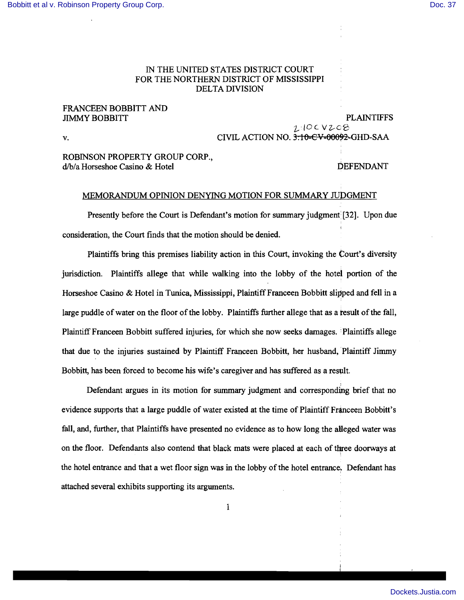## IN THE UNITED STATES DISTRICT COURT FOR THE NORTHERN DISTRICT OF MISSISSIPPI DELTA DIVISION

## FRANCEEN BOBBITT AND

nMMY BOBBITT PLAINTIFFS  $2.10$  C V 208 v. CIVIL ACTION NO. 3<del>.10-CV-00092</del>-GHD-SAA

## ROBINSON PROPERTY GROUP CORP., d/b/a Horseshoe Casino & Hotel DEFENDANT

## MEMORANDUM OPINION DENYING MOTION FOR SUMMARY JUDGMENT

Presently before the Court is Defendant's motion for summary judgment: [32]. Upon due consideration, the Court finds that the motion should be denied.

Plaintiffs bring this premises liability action in this Court, invoking the Court's diversity jurisdiction. Plaintiffs allege that while walking into the lobby of the hotel portion of the Horseshoe Casino & Hotel in Tunica, Mississippi, Plaintiff Franceen Bobbitt slipped and fell in a large puddle of water on the floor of the lobby. Plaintiffs further allege that as a result of the fall, Plaintiff Franceen Bobbitt suffered injuries, for which she now seeks damages. : Plaintiffs allege that due to the injuries sustained by Plaintiff Franceen Bobbitt, her husband, Plaintiff Jimmy Bobbitt, has been forced to become his wife's caregiver and has suffered as a result.

Defendant argues in its motion for summary judgment and corresponding brief that no evidence supports that a large puddle of water existed at the time of Plaintiff Franceen Bobbitt's fall, and, further, that Plaintiffs have presented no evidence as to how long the alleged water was on the floor. Defendants also contend that black mats were placed at each of three doorways at the hotel entrance and that a wet floor sign was in the lobby of the hotel entrance. Defendant has attached several exhibits supporting its arguments.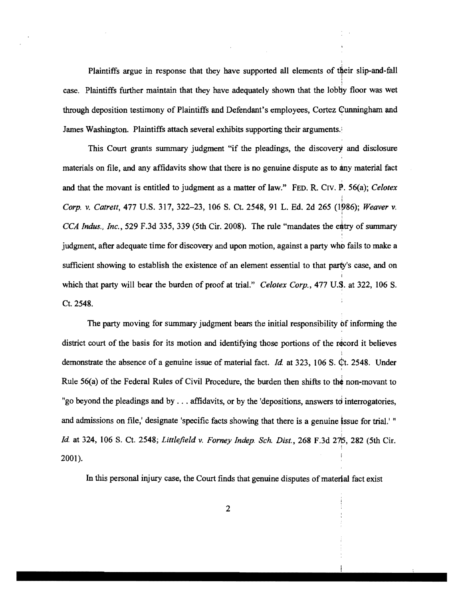Plaintiffs argue in response that they have supported all elements of their slip-and-fall case. Plaintiffs further maintain that they have adequately shown that the lobby floor was wet through deposition testimony of Plaintiffs and Defendant's employees, Cortez Cunningham and James Washington. Plaintiffs attach several exhibits supporting their arguments.

This Court grants summary judgment "if the pleadings, the discovery and disclosure materials on file, and any affidavits show that there is no genuine dispute as to any material fact and that the movant is entitled to judgment as a matter of law." FED. R. Cry. P. 56(a); *Celotex Corp.* v. *Catrett,* 477 U.S. 317, 322-23, 106 S. Ct. 2548, 91 L. Ed. 2d 265 (1986); *Weaver* v. , *CCA Indus., Inc.,* 529 F.3d 335, 339 (5th Cir. 2008). The rule "mandates the entry of summary judgment, after adequate time for discovery and upon motion, against a party who fails to make a sufficient showing to establish the existence of an element essential to that party's case, and on which that party will bear the burden of proof at trial." *Celotex Corp.,* 477 U.S. at 322, 106 S. Ct. 2548.

The party moving for summary judgment bears the initial responsibility of informing the district court of the basis for its motion and identifying those portions of the record it believes demonstrate the absence of a genuine issue of material fact. *Id.* at 323, 106 S. Ct. 2548. Under Rule 56(a) of the Federal Rules of Civil Procedure, the burden then shifts to th¢ non-movant to "go beyond the pleadings and by ... affidavits, or by the 'depositions, answers to interrogatories, and admissions on file,' designate 'specific facts showing that there is a genuine issue for trial.' " *ld.* at 324, 106 S. Ct. 2548; *Littlefield* v. *Forney Indep. Sch. Dis!.,* 268 F.3d 27!5, 282 (5th Cir. 2001).

In this personal injury case, the Court finds that genuine disputes of material fact exist